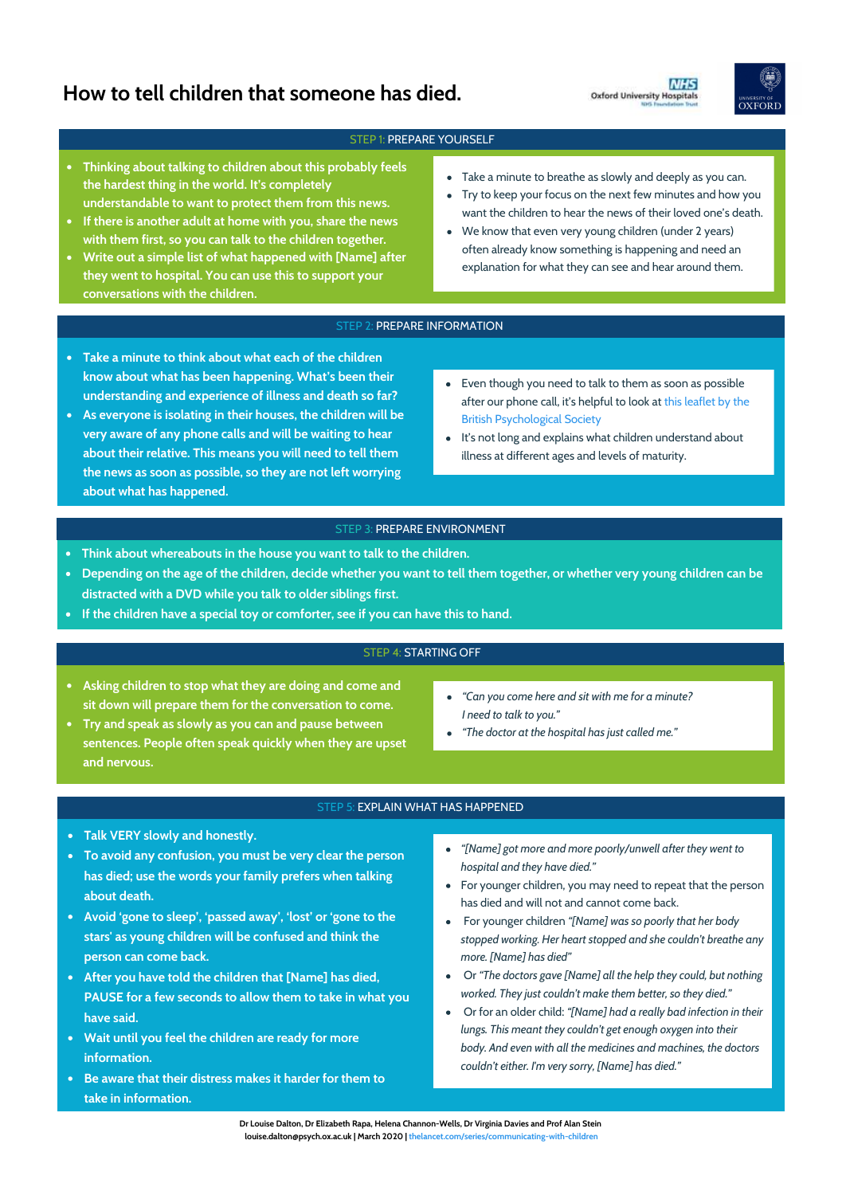# **How to tell children that someone has died.**





# STEP 1: PREPARE YOURSELF

- **Thinking about talking to children about this probably feels the hardest thing in the world. It's completely understandable to want to protect them from this news.**
- **If there is another adult at home with you, share the news with them first, so you can talk to the children together.**
- **Write out a simple list of what happened with [Name] after they went to hospital. You can use this to support your conversations with the children.**
- Take a minute to breathe as slowly and deeply as you can.
- Try to keep your focus on the next few minutes and how you want the children to hear the news of their loved one's death.
- We know that even very young children (under 2 years) often already know something is happening and need an explanation for what they can see and hear around them.

## STEP 2: PREPARE INFORMATION

- **Take a minute to think about what each of the children know about what has been happening. What's been their understanding and experience of illness and death so far?**
- **As everyone is isolating in their houses, the children will be very aware of any phone calls and will be waiting to hear about their relative. This means you will need to tell them the news as soon as possible, so they are not left worrying about what has happened.**
- Even though you need to talk to them as soon as possible [after our phone call, it's helpful to look at this leaflet by the](https://www.bps.org.uk/sites/www.bps.org.uk/files/Policy/Policy%20-%20Files/Talking%20to%20children%20about%20illness.pdf)  British Psychological Society
- It's not long and explains what children understand about illness at different ages and levels of maturity.

## STEP 3: PREPARE ENVIRONMENT

- **Think about whereabouts in the house you want to talk to the children.**
- **Depending on the age of the children, decide whether you want to tell them together, or whether very young children can be distracted with a DVD while you talk to older siblings first.**
- **If the children have a special toy or comforter, see if you can have this to hand.**

# STEP 4: STARTING OFF

- **Asking children to stop what they are doing and come and sit down will prepare them for the conversation to come.**
- *"Can you come here and sit with me for a minute? I need to talk to you."*
- *"The doctor at the hospital has just called me."*
- **Try and speak as slowly as you can and pause between sentences. People often speak quickly when they are upset and nervous.**

# STEP 5: EXPLAIN WHAT HAS HAPPENED

- **Talk VERY slowly and honestly.**
- **To avoid any confusion, you must be very clear the person has died; use the words your family prefers when talking about death.**
- **Avoid 'gone to sleep', 'passed away', 'lost' or 'gone to the stars' as young children will be confused and think the person can come back.**
- **After you have told the children that [Name] has died, PAUSE for a few seconds to allow them to take in what you have said.**
- **Wait until you feel the children are ready for more information.**
- **Be aware that their distress makes it harder for them to take in information.**
- *"[Name] got more and more poorly/unwell after they went to hospital and they have died."*
- For younger children, you may need to repeat that the person has died and will not and cannot come back.
- For younger children *"[Name] was so poorly that her body stopped working. Her heart stopped and she couldn't breathe any more. [Name] has died"*
- Or *"The doctors gave [Name] all the help they could, but nothing*   $\bullet$ *worked. They just couldn't make them better, so they died."*
- Or for an older child: *"[Name] had a really bad infection in their*   $\bullet$ *lungs. This meant they couldn't get enough oxygen into their body. And even with all the medicines and machines, the doctors couldn't either. I'm very sorry, [Name] has died."*

**Dr Louise Dalton, Dr Elizabeth Rapa, Helena Channon-Wells, Dr Virginia Davies and Prof Alan Stein louise.dalton@psych.ox.ac.uk | March 2020 | [thelancet.com/series/communicating-with-children](http://www.thelancet.com/series/communicating-with-children)**